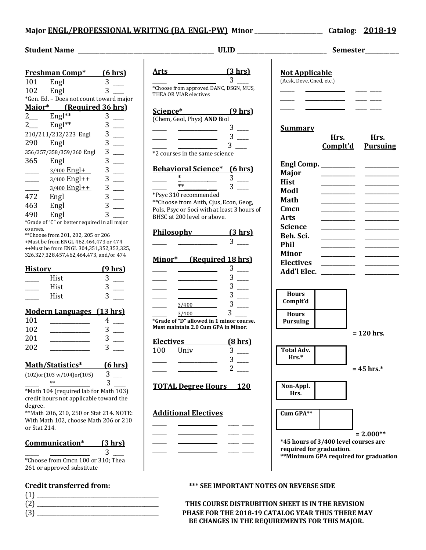## **Major ENGL/PROFESSIONAL WRITING (BA\_ENGL-PW)** Minor \_\_\_\_\_\_\_\_\_\_\_\_\_\_\_\_\_\_\_ Catalog: 2018-19

|                          | <b>Freshman Comp*</b>                                                             | (6 hrs)           | Art            |  |
|--------------------------|-----------------------------------------------------------------------------------|-------------------|----------------|--|
| 101                      | Engl                                                                              | 3                 |                |  |
| 102                      | Engl                                                                              | 3                 | *Cho<br>THE    |  |
|                          | *Gen. Ed. - Does not count toward major                                           |                   |                |  |
|                          | Major* (Required 36 hrs)                                                          |                   | Sci            |  |
| $2$ <sub>——</sub>        | Engl**                                                                            | 3                 | (Ch)           |  |
| $2$ <sub>——</sub>        | Engl**                                                                            | 3                 |                |  |
|                          | 210/211/212/223 Engl                                                              | 3                 |                |  |
| 290                      | Engl                                                                              | 3                 |                |  |
|                          | 356/357/358/359/360 Engl                                                          | 3                 | $*2c$          |  |
| 365                      | Engl                                                                              | 3                 |                |  |
|                          | $3/400$ Engl+                                                                     | 3                 | <u>Bel</u>     |  |
|                          | $3/400$ Engl++                                                                    | 3                 |                |  |
|                          | 3/400 Engl++                                                                      | 3                 |                |  |
| 472                      | Engl                                                                              | 3                 | $*P_{S}$       |  |
| 463                      | Engl                                                                              | 3                 | $*$ °C         |  |
| 490                      | Engl                                                                              | 3                 | Pol:           |  |
|                          | *Grade of "C" or better required in all major                                     |                   | BHS            |  |
| courses.                 |                                                                                   |                   |                |  |
|                          | ** Choose from 201, 202, 205 or 206                                               |                   | P <sub>h</sub> |  |
|                          | +Must be from ENGL 462,464,473 or 474<br>++Must be from ENGL 304,351,352,353,325, |                   |                |  |
|                          | 326, 327, 328, 457, 462, 464, 473, and/or 474                                     |                   |                |  |
| <b>History</b>           |                                                                                   | $(9 \text{ hrs})$ | <u>Mi</u>      |  |
|                          | Hist                                                                              | 3                 |                |  |
|                          | Hist                                                                              | 3                 |                |  |
|                          | Hist                                                                              | 3                 |                |  |
|                          |                                                                                   |                   |                |  |
|                          | <b>Modern Languages (13 hrs)</b>                                                  |                   |                |  |
| 101                      |                                                                                   | 4                 | *Gra           |  |
| 102                      |                                                                                   | 3                 | Mus            |  |
| 201                      |                                                                                   | 3                 |                |  |
| 202                      |                                                                                   | 3                 | <b>Ele</b>     |  |
|                          |                                                                                   |                   | 10             |  |
| Math/Statistics* (6 hrs) |                                                                                   |                   |                |  |
|                          | $(102)$ or $(103 w/104)$ or $(105)$                                               | 3                 |                |  |
|                          |                                                                                   |                   |                |  |
|                          | $**$                                                                              | 3                 | т∩             |  |

\*Math 104 (required lab for Math 103) credit hours not applicable toward the degree.

\*\*Math 206, 210, 250 or Stat 214. NOTE: With Math 102, choose Math 206 or 210 or Stat 214.

## **Communication\* (3 hrs)**

 $\frac{1}{\sqrt{2\pi}}$   $\frac{1}{\sqrt{2\pi}}$   $\frac{3}{\sqrt{2\pi}}$ \*Choose from Cmcn 100 or 310; Thea 261 or approved substitute

| $\mathbf{f}$ |  |  |
|--------------|--|--|
| -12          |  |  |
| - 12         |  |  |

**Student Name Letters ULID**  $\blacksquare$ Arts (3 hrs) \_\_\_\_\_ \_\_ \_\_\_ \_\_\_ 3 \_\_\_\_ \*Choose from approved DANC, DSGN, MUS, THEA OR VIAR electives **Science\* (9 hrs)** (Chem, Geol, Phys) **AND** Biol \_\_\_\_\_ \_\_\_\_\_\_\_\_\_\_\_\_\_\_ 3 \_\_\_\_  $\frac{1}{\sqrt{2\pi}}$  ,  $\frac{1}{\sqrt{2\pi}}$  ,  $\frac{1}{\sqrt{2\pi}}$  ,  $\frac{1}{\sqrt{2\pi}}$  ,  $\frac{1}{\sqrt{2\pi}}$  $\frac{1}{\sqrt{2\pi}}$  ,  $\frac{1}{\sqrt{2\pi}}$  ,  $\frac{1}{\sqrt{2\pi}}$  ,  $\frac{1}{\sqrt{2\pi}}$  ,  $\frac{1}{\sqrt{2\pi}}$ \*2 courses in the same science **Behavioral Science\* (6 hrs)** \_\_\_\_\_ \*\_\_\_\_\_\_\_\_\_\_ 3 \_\_\_ \_\_\_\_\_ \*\*\_\_\_\_\_\_\_\_\_ 3 \_\_\_ \*Psyc 310 recommended \*\*Choose from Anth, Cjus, Econ, Geog, Pols, Psyc or Soci with at least 3 hours of BHSC at 200 level or above. **Philosophy** (3 hrs) \_\_\_\_\_ \_\_\_\_\_\_\_\_\_\_\_\_\_\_ 3 \_\_\_\_ **Minor\* (Required 18 hrs)** \_\_\_\_\_ \_\_\_\_\_\_\_\_\_\_\_\_\_\_ 3 \_\_\_\_  $\frac{1}{\sqrt{2\pi}}$   $\frac{1}{\sqrt{2\pi}}$   $\frac{3}{\sqrt{2\pi}}$  $\frac{1}{\sqrt{3}}$   $\frac{1}{\sqrt{3}}$   $\frac{1}{\sqrt{3}}$   $\frac{1}{\sqrt{3}}$   $\frac{1}{\sqrt{3}}$   $\frac{1}{\sqrt{3}}$   $\frac{1}{\sqrt{3}}$   $\frac{1}{\sqrt{3}}$   $\frac{1}{\sqrt{3}}$   $\frac{1}{\sqrt{3}}$   $\frac{1}{\sqrt{3}}$   $\frac{1}{\sqrt{3}}$   $\frac{1}{\sqrt{3}}$   $\frac{1}{\sqrt{3}}$   $\frac{1}{\sqrt{3}}$   $\frac{1}{\sqrt{3}}$   $\frac{1}{\sqrt{3}}$  \_\_\_\_\_ \_\_\_\_\_\_\_\_\_\_\_\_\_\_ 3 \_\_\_\_  $\frac{3/400}{\sim}$  3  $3/400$  3 \***Grade of "D" allowed in 1 minor course. Must maintain 2.0 Cum GPA in Minor.** Electives (8 hrs) 100 Univ 3 \_\_\_\_\_ \_\_\_\_\_\_\_\_\_\_\_\_\_\_ 3 \_\_\_\_ \_\_\_\_\_ \_\_\_\_\_\_\_\_\_\_\_\_\_\_\_\_\_ 2 \_\_\_\_ **TOTAL Degree Hours** 120

# **Additional Electives**



|                                                                                                                                                                                      | Semester                |                         |  |  |
|--------------------------------------------------------------------------------------------------------------------------------------------------------------------------------------|-------------------------|-------------------------|--|--|
| <b>Not Applicable</b><br>(Acsk, Deve, Cned, etc.)                                                                                                                                    |                         |                         |  |  |
| <u>Summary</u>                                                                                                                                                                       | Hrs.<br><u>Complt'd</u> | Hrs.<br><b>Pursuing</b> |  |  |
| Engl Comp. _________<br><b>Major</b><br><b>Hist</b><br>Modl<br><b>Math</b><br>Cmcn<br>Arts<br>Science<br>Beh. Sci.<br><b>Phil</b><br><b>Minor</b><br><b>Electives</b><br>Add'l Elec. |                         |                         |  |  |
| <b>Hours</b><br>Complt'd                                                                                                                                                             |                         |                         |  |  |



## **Credit transferred from: \*\*\* SEE IMPORTANT NOTES ON REVERSE SIDE**

THIS COURSE DISTRUBITION SHEET IS IN THE REVISION PHASE FOR THE 2018-19 CATALOG YEAR THUS THERE MAY BE CHANGES IN THE REQUIREMENTS FOR THIS MAJOR.